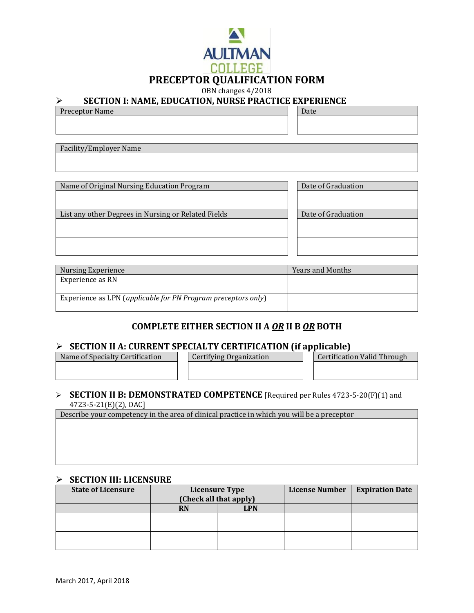

# ➢ **SECTION I: NAME, EDUCATION, NURSE PRACTICE EXPERIENCE**

| odotton n ningd bb ogittion, nonob i ningtigb bin binbn ob |  |  |  |  |
|------------------------------------------------------------|--|--|--|--|
| Preceptor Name                                             |  |  |  |  |
|                                                            |  |  |  |  |

Facility/Employer Name

| Name of Original Nursing Education Program          | Date of Graduation |  |
|-----------------------------------------------------|--------------------|--|
|                                                     |                    |  |
|                                                     |                    |  |
| List any other Degrees in Nursing or Related Fields | Date of Graduation |  |
|                                                     |                    |  |
|                                                     |                    |  |
|                                                     |                    |  |
|                                                     |                    |  |

| Nursing Experience                                            | <b>Years and Months</b> |
|---------------------------------------------------------------|-------------------------|
| Experience as RN                                              |                         |
|                                                               |                         |
| Experience as LPN (applicable for PN Program preceptors only) |                         |

### **COMPLETE EITHER SECTION II A** *OR* **II B** *OR* **BOTH**

## ➢ **SECTION II A: CURRENT SPECIALTY CERTIFICATION (if applicable)**

Name of Specialty Certification | Certifying Organization | Certification Valid Through

#### ➢ **SECTION II B: DEMONSTRATED COMPETENCE** [Required per Rules 4723-5-20(F)(1) and 4723-5-21(E)(2), OAC]

Describe your competency in the area of clinical practice in which you will be a preceptor

#### ➢ **SECTION III: LICENSURE**

| <b>State of Licensure</b> | <b>Licensure Type</b><br>(Check all that apply) |            | <b>License Number</b> | <b>Expiration Date</b> |
|---------------------------|-------------------------------------------------|------------|-----------------------|------------------------|
|                           | <b>RN</b>                                       | <b>LPN</b> |                       |                        |
|                           |                                                 |            |                       |                        |
|                           |                                                 |            |                       |                        |
|                           |                                                 |            |                       |                        |
|                           |                                                 |            |                       |                        |